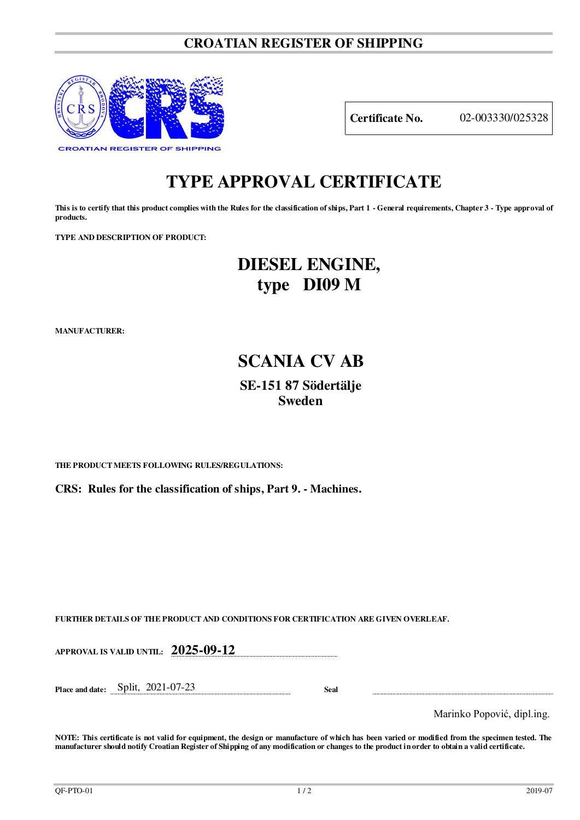# **CROATIAN REGISTER OF SHIPPING**



**Certificate No.** 02-003330/025328

# **TYPE APPROVAL CERTIFICATE**

**This is to certify that this product complies with the Rules for the classification of ships, Part 1 - General requirements, Chapter 3 - Type approval of products.** 

**TYPE AND DESCRIPTION OF PRODUCT:** 

# **DIESEL ENGINE, type DI09 M**

**MANUFACTURER:**

# **SCANIA CV AB SE-151 87 Södertälje Sweden**

**THE PRODUCT MEETS FOLLOWING RULES/REGULATIONS:**

**CRS: Rules for the classification of ships, Part 9. - Machines.**

**FURTHER DETAILS OF THE PRODUCT AND CONDITIONS FOR CERTIFICATION ARE GIVEN OVERLEAF.**

**APPROVAL IS VALID UNTIL: 2025-09-12**

**Place and date:** Split, 2021-07-23 **Seal** 

Marinko Popović, dipl.ing.

**NOTE: This certificate is not valid for equipment, the design or manufacture of which has been varied or modified from the specimen tested. The manufacturer should notify Croatian Register of Shipping of any modification or changes to the product in order to obtain a valid certificate.**